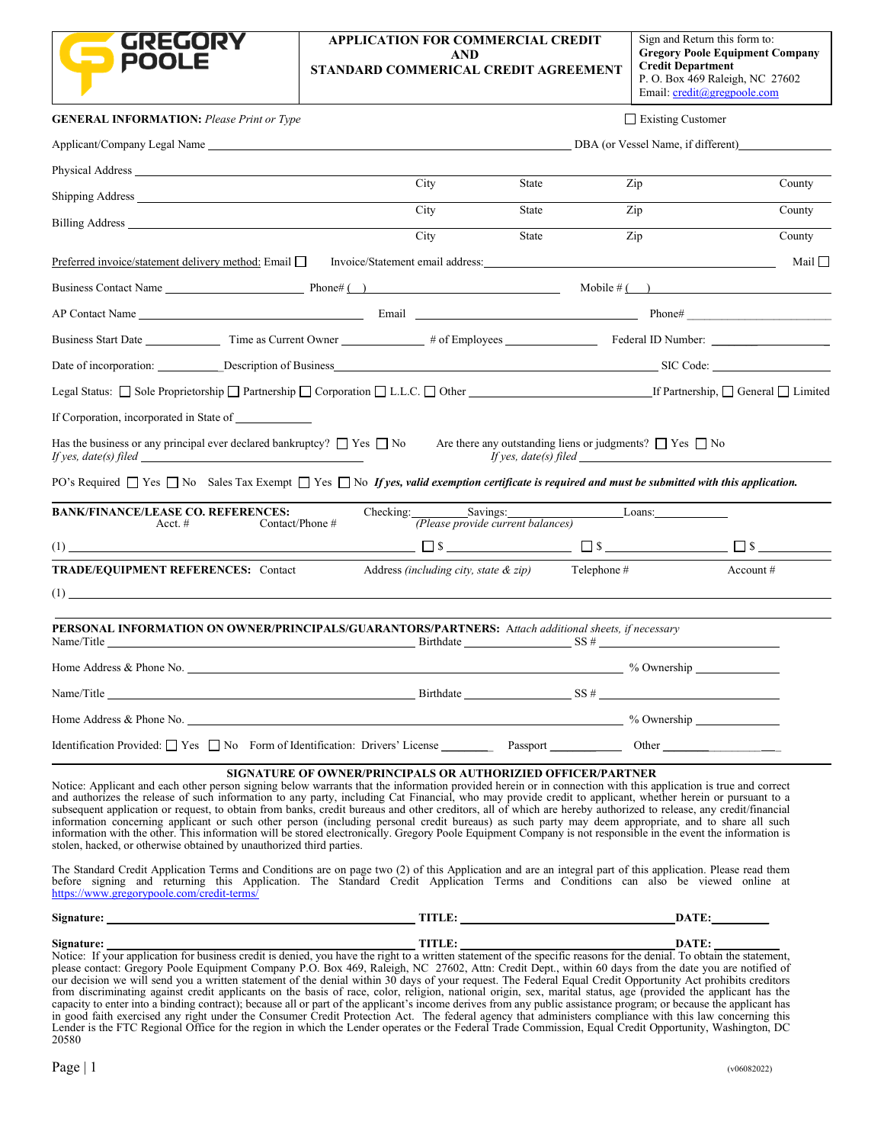|                                                                                                                                                                                                                                                                                                                                                                                                                                                                                                                                                                                                                                                                                                                                                                                                                                                                                                   | APPLICATION FOR COMMERCIAL CREDIT<br>AND<br>STANDARD COMMERICAL CREDIT AGREEMENT |                                   | Sign and Return this form to:<br><b>Gregory Poole Equipment Company</b><br><b>Credit Department</b><br>P. O. Box 469 Raleigh, NC 27602<br>Email: $\text{credit}(\textcircled{a}$ gregpoole.com |
|---------------------------------------------------------------------------------------------------------------------------------------------------------------------------------------------------------------------------------------------------------------------------------------------------------------------------------------------------------------------------------------------------------------------------------------------------------------------------------------------------------------------------------------------------------------------------------------------------------------------------------------------------------------------------------------------------------------------------------------------------------------------------------------------------------------------------------------------------------------------------------------------------|----------------------------------------------------------------------------------|-----------------------------------|------------------------------------------------------------------------------------------------------------------------------------------------------------------------------------------------|
| <b>GENERAL INFORMATION: Please Print or Type</b>                                                                                                                                                                                                                                                                                                                                                                                                                                                                                                                                                                                                                                                                                                                                                                                                                                                  |                                                                                  |                                   | Existing Customer                                                                                                                                                                              |
|                                                                                                                                                                                                                                                                                                                                                                                                                                                                                                                                                                                                                                                                                                                                                                                                                                                                                                   |                                                                                  |                                   | DBA (or Vessel Name, if different)                                                                                                                                                             |
|                                                                                                                                                                                                                                                                                                                                                                                                                                                                                                                                                                                                                                                                                                                                                                                                                                                                                                   |                                                                                  |                                   |                                                                                                                                                                                                |
|                                                                                                                                                                                                                                                                                                                                                                                                                                                                                                                                                                                                                                                                                                                                                                                                                                                                                                   | City                                                                             | State                             | Zip<br>County                                                                                                                                                                                  |
| Billing Address and the state of the state of the state of the state of the state of the state of the state of the state of the state of the state of the state of the state of the state of the state of the state of the sta                                                                                                                                                                                                                                                                                                                                                                                                                                                                                                                                                                                                                                                                    | City<br>City                                                                     | State<br>State                    | County<br>Zip<br>County<br>Zip                                                                                                                                                                 |
| Preferred invoice/statement delivery method: Email $\Box$ Invoice/Statement email address:                                                                                                                                                                                                                                                                                                                                                                                                                                                                                                                                                                                                                                                                                                                                                                                                        |                                                                                  |                                   | Mail $\Box$                                                                                                                                                                                    |
|                                                                                                                                                                                                                                                                                                                                                                                                                                                                                                                                                                                                                                                                                                                                                                                                                                                                                                   |                                                                                  |                                   |                                                                                                                                                                                                |
|                                                                                                                                                                                                                                                                                                                                                                                                                                                                                                                                                                                                                                                                                                                                                                                                                                                                                                   |                                                                                  |                                   |                                                                                                                                                                                                |
|                                                                                                                                                                                                                                                                                                                                                                                                                                                                                                                                                                                                                                                                                                                                                                                                                                                                                                   |                                                                                  |                                   |                                                                                                                                                                                                |
| Date of incorporation: Description of Business Description of Business Description of Business Description of Business Description of Business Description of Business Description of Business Description of Business Descrip                                                                                                                                                                                                                                                                                                                                                                                                                                                                                                                                                                                                                                                                    |                                                                                  |                                   |                                                                                                                                                                                                |
| Legal Status: Sole Proprietorship Partnership Corporation L.L.C. Other [16] Corporation C.L.C. C. Tother [16] Corporation C.L.C. C. Tother [16] Corporation C.L.C. C. C.   Other [16] Capital C.L.C. [16] Ceneral C.L.C. [16]                                                                                                                                                                                                                                                                                                                                                                                                                                                                                                                                                                                                                                                                     |                                                                                  |                                   |                                                                                                                                                                                                |
| If Corporation, incorporated in State of                                                                                                                                                                                                                                                                                                                                                                                                                                                                                                                                                                                                                                                                                                                                                                                                                                                          |                                                                                  |                                   |                                                                                                                                                                                                |
| Has the business or any principal ever declared bankruptcy? $\Box$ Yes $\Box$ No Are there any outstanding liens or judgments? $\Box$ Yes $\Box$ No<br>PO's Required $\Box$ Yes $\Box$ No Sales Tax Exempt $\Box$ Yes $\Box$ No If yes, valid exemption certificate is required and must be submitted with this application.                                                                                                                                                                                                                                                                                                                                                                                                                                                                                                                                                                      |                                                                                  |                                   | If yes, $date(s)$ filed $\qquad \qquad$                                                                                                                                                        |
| <b>BANK/FINANCE/LEASE CO. REFERENCES:</b><br>Acct. $#$                                                                                                                                                                                                                                                                                                                                                                                                                                                                                                                                                                                                                                                                                                                                                                                                                                            | Checking:<br>Savings:<br>Contact/Phone #                                         | (Please provide current balances) | Loans:                                                                                                                                                                                         |
| (1)                                                                                                                                                                                                                                                                                                                                                                                                                                                                                                                                                                                                                                                                                                                                                                                                                                                                                               |                                                                                  |                                   | $\Box$ \$                                                                                                                                                                                      |
| <b>TRADE/EQUIPMENT REFERENCES: Contact</b><br>(1)                                                                                                                                                                                                                                                                                                                                                                                                                                                                                                                                                                                                                                                                                                                                                                                                                                                 | Address <i>(including city, state <math>\&amp;</math> zip)</i>                   | Telephone #                       | Account $#$                                                                                                                                                                                    |
| PERSONAL INFORMATION ON OWNER/PRINCIPALS/GUARANTORS/PARTNERS: Attach additional sheets, if necessary<br>Name/Title SS # Service SS # Service SS # Service SS # Service SS # Service SS # Service SS # Service SS # Service SS # Service SS # Service SS # Service SS # Service SS # Service SS # Service SS # Service SS # Service SS                                                                                                                                                                                                                                                                                                                                                                                                                                                                                                                                                             |                                                                                  |                                   |                                                                                                                                                                                                |
| Home Address & Phone No.                                                                                                                                                                                                                                                                                                                                                                                                                                                                                                                                                                                                                                                                                                                                                                                                                                                                          |                                                                                  |                                   | % Ownership                                                                                                                                                                                    |
|                                                                                                                                                                                                                                                                                                                                                                                                                                                                                                                                                                                                                                                                                                                                                                                                                                                                                                   |                                                                                  |                                   |                                                                                                                                                                                                |
|                                                                                                                                                                                                                                                                                                                                                                                                                                                                                                                                                                                                                                                                                                                                                                                                                                                                                                   |                                                                                  |                                   |                                                                                                                                                                                                |
| Identification Provided: Ves No Form of Identification: Drivers' License Passport Passport Cher                                                                                                                                                                                                                                                                                                                                                                                                                                                                                                                                                                                                                                                                                                                                                                                                   |                                                                                  |                                   |                                                                                                                                                                                                |
| Notice: Applicant and each other person signing below warrants that the information provided herein or in connection with this application is true and correct<br>and authorizes the release of such information to any party, including Cat Financial, who may provide credit to applicant, whether herein or pursuant to a<br>subsequent application or request, to obtain from banks, credit bureaus and other creditors, all of which are hereby authorized to release, any credit/financial<br>information concerning applicant or such other person (including personal credit bureaus) as such party may deem appropriate, and to share all such<br>information with the other. This information will be stored electronically. Gregory Poole Equipment Company is not responsible in the event the information is<br>stolen, hacked, or otherwise obtained by unauthorized third parties. | SIGNATURE OF OWNER/PRINCIPALS OR AUTHORIZIED OFFICER/PARTNER                     |                                   |                                                                                                                                                                                                |
| The Standard Credit Application Terms and Conditions are on page two (2) of this Application and are an integral part of this application. Please read them<br>before signing and returning this Application. The Standard Credit Application Terms and Conditions can also be viewed online at<br>https://www.gregorypoole.com/credit-terms/                                                                                                                                                                                                                                                                                                                                                                                                                                                                                                                                                     |                                                                                  |                                   |                                                                                                                                                                                                |

| <b>Signat</b> | . | <b>CONTRACTOR</b><br>. |
|---------------|---|------------------------|
| Signat        | . | <b>CONTRACTOR</b><br>. |

Notice: If your application for business credit is denied, you have the right to a written statement of the specific reasons for the denial. To obtain the statement, please contact: Gregory Poole Equipment Company P.O. Box 469, Raleigh, NC 27602, Attn: Credit Dept., within 60 days from the date you are notified of our decision we will send you a written statement of the denial within 30 days of your request. The Federal Equal Credit Opportunity Act prohibits creditors from discriminating against credit applicants on the basis of race, color, religion, national origin, sex, marital status, age (provided the applicant has the capacity to enter into a binding contract); because all or part of the applicant's income derives from any public assistance program; or because the applicant has in good faith exercised any right under the Consumer Credit Protection Act. The federal agency that administers compliance with this law concerning this Lender is the FTC Regional Office for the region in which the Lender operates or the Federal Trade Commission, Equal Credit Opportunity, Washington, DC 20580